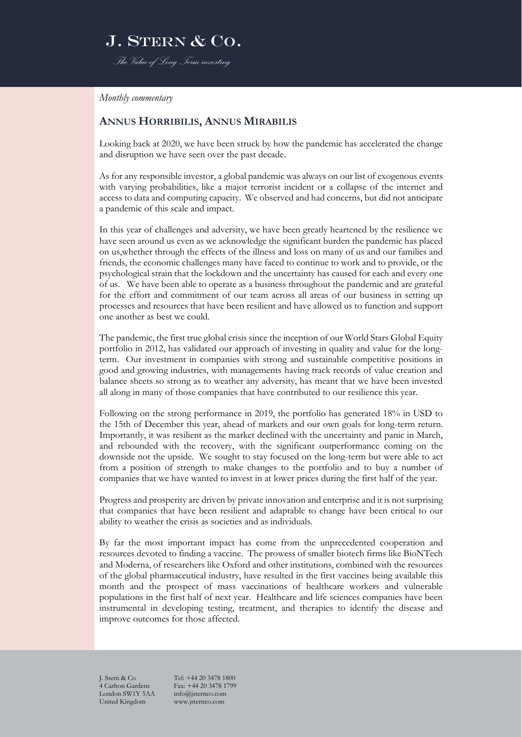### J. STERN & CO. *The Value of Long-Term investing*

*Monthly commentary*

#### **ANNUS HORRIBILIS, ANNUS MIRABILIS**

Looking back at 2020, we have been struck by how the pandemic has accelerated the change and disruption we have seen over the past decade.

As for any responsible investor, a global pandemic was always on our list of exogenous events with varying probabilities, like a major terrorist incident or a collapse of the internet and access to data and computing capacity. We observed and had concerns, but did not anticipate a pandemic of this scale and impact.

In this year of challenges and adversity, we have been greatly heartened by the resilience we have seen around us even as we acknowledge the significant burden the pandemic has placed on us,whether through the effects of the illness and loss on many of us and our families and friends, the economic challenges many have faced to continue to work and to provide, or the psychological strain that the lockdown and the uncertainty has caused for each and every one of us. We have been able to operate as a business throughout the pandemic and are grateful for the effort and commitment of our team across all areas of our business in setting up processes and resources that have been resilient and have allowed us to function and support one another as best we could.

The pandemic, the first true global crisis since the inception of our World Stars Global Equity portfolio in 2012, has validated our approach of investing in quality and value for the longterm. Our investment in companies with strong and sustainable competitive positions in good and growing industries, with managements having track records of value creation and balance sheets so strong as to weather any adversity, has meant that we have been invested all along in many of those companies that have contributed to our resilience this year.

Following on the strong performance in 2019, the portfolio has generated 18% in USD to the 15th of December this year, ahead of markets and our own goals for long-term return. Importantly, it was resilient as the market declined with the uncertainty and panic in March, and rebounded with the recovery, with the significant outperformance coming on the downside not the upside. We sought to stay focused on the long-term but were able to act from a position of strength to make changes to the portfolio and to buy a number of companies that we have wanted to invest in at lower prices during the first half of the year.

Progress and prosperity are driven by private innovation and enterprise and it is not surprising that companies that have been resilient and adaptable to change have been critical to our ability to weather the crisis as societies and as individuals.

By far the most important impact has come from the unprecedented cooperation and resources devoted to finding a vaccine. The prowess of smaller biotech firms like BioNTech and Moderna, of researchers like Oxford and other institutions, combined with the resources of the global pharmaceutical industry, have resulted in the first vaccines being available this month and the prospect of mass vaccinations of healthcare workers and vulnerable populations in the first half of next year. Healthcare and life sciences companies have been instrumental in developing testing, treatment, and therapies to identify the disease and improve outcomes for those affected.

4 Carlton Gardens Fax: +44 20 3478 1<br>London SW1Y 5AA info@isternco.com London SW1Y 5AA United Kingdom www.jsternco.com

J. Stern & Co Tel: +44 20 3478 1800<br>4 Carlton Gardens Fax: +44 20 3478 1799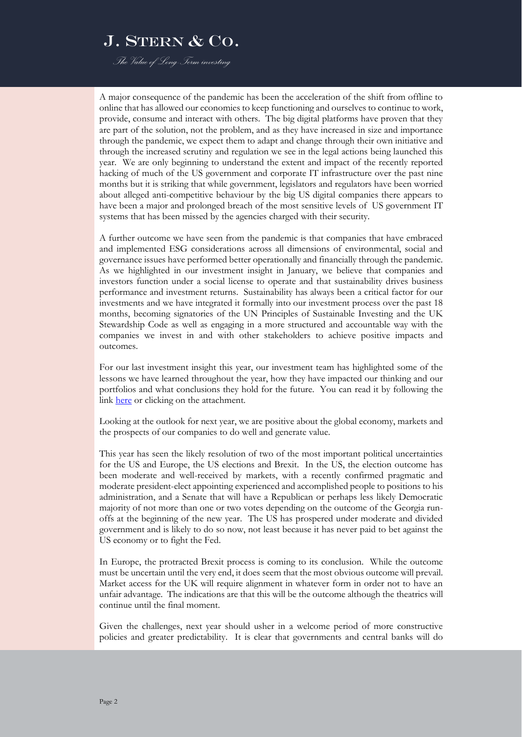*The Value of Long-Term investing*

A major consequence of the pandemic has been the acceleration of the shift from offline to online that has allowed our economies to keep functioning and ourselves to continue to work, provide, consume and interact with others. The big digital platforms have proven that they are part of the solution, not the problem, and as they have increased in size and importance through the pandemic, we expect them to adapt and change through their own initiative and through the increased scrutiny and regulation we see in the legal actions being launched this year. We are only beginning to understand the extent and impact of the recently reported hacking of much of the US government and corporate IT infrastructure over the past nine months but it is striking that while government, legislators and regulators have been worried about alleged anti-competitive behaviour by the big US digital companies there appears to have been a major and prolonged breach of the most sensitive levels of US government IT systems that has been missed by the agencies charged with their security.

A further outcome we have seen from the pandemic is that companies that have embraced and implemented ESG considerations across all dimensions of environmental, social and governance issues have performed better operationally and financially through the pandemic. As we highlighted in our investment insight in January, we believe that companies and investors function under a social license to operate and that sustainability drives business performance and investment returns. Sustainability has always been a critical factor for our investments and we have integrated it formally into our investment process over the past 18 months, becoming signatories of the UN Principles of Sustainable Investing and the UK Stewardship Code as well as engaging in a more structured and accountable way with the companies we invest in and with other stakeholders to achieve positive impacts and outcomes.

For our last investment insight this year, our investment team has highlighted some of the lessons we have learned throughout the year, how they have impacted our thinking and our portfolios and what conclusions they hold for the future. You can read it by following the link [here](https://www.jsternco.com/accelerating-change-and-disruption-lessons-and-reflections-from-investing-during-the-covid-19-pandemic/) or clicking on the attachment.

Looking at the outlook for next year, we are positive about the global economy, markets and the prospects of our companies to do well and generate value.

This year has seen the likely resolution of two of the most important political uncertainties for the US and Europe, the US elections and Brexit. In the US, the election outcome has been moderate and well-received by markets, with a recently confirmed pragmatic and moderate president-elect appointing experienced and accomplished people to positions to his administration, and a Senate that will have a Republican or perhaps less likely Democratic majority of not more than one or two votes depending on the outcome of the Georgia runoffs at the beginning of the new year. The US has prospered under moderate and divided government and is likely to do so now, not least because it has never paid to bet against the US economy or to fight the Fed.

In Europe, the protracted Brexit process is coming to its conclusion. While the outcome must be uncertain until the very end, it does seem that the most obvious outcome will prevail. Market access for the UK will require alignment in whatever form in order not to have an unfair advantage. The indications are that this will be the outcome although the theatrics will continue until the final moment.

Given the challenges, next year should usher in a welcome period of more constructive policies and greater predictability. It is clear that governments and central banks will do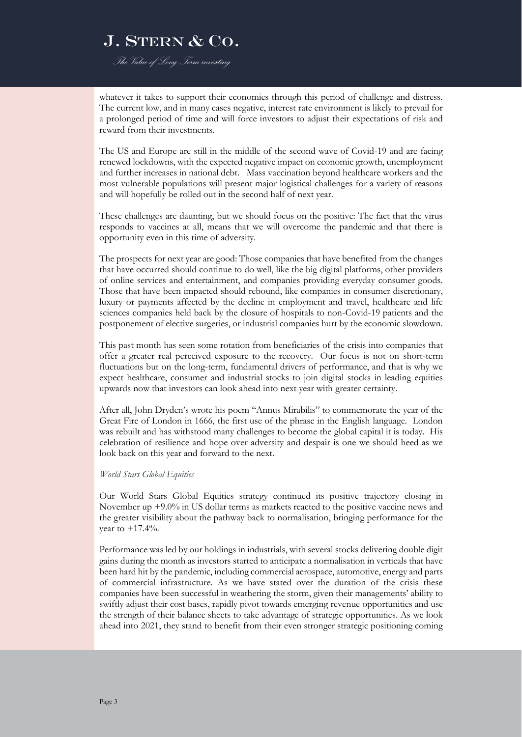*The Value of Long-Term investing*

whatever it takes to support their economies through this period of challenge and distress. The current low, and in many cases negative, interest rate environment is likely to prevail for a prolonged period of time and will force investors to adjust their expectations of risk and reward from their investments.

The US and Europe are still in the middle of the second wave of Covid-19 and are facing renewed lockdowns, with the expected negative impact on economic growth, unemployment and further increases in national debt. Mass vaccination beyond healthcare workers and the most vulnerable populations will present major logistical challenges for a variety of reasons and will hopefully be rolled out in the second half of next year.

These challenges are daunting, but we should focus on the positive: The fact that the virus responds to vaccines at all, means that we will overcome the pandemic and that there is opportunity even in this time of adversity.

The prospects for next year are good: Those companies that have benefited from the changes that have occurred should continue to do well, like the big digital platforms, other providers of online services and entertainment, and companies providing everyday consumer goods. Those that have been impacted should rebound, like companies in consumer discretionary, luxury or payments affected by the decline in employment and travel, healthcare and life sciences companies held back by the closure of hospitals to non-Covid-19 patients and the postponement of elective surgeries, or industrial companies hurt by the economic slowdown.

This past month has seen some rotation from beneficiaries of the crisis into companies that offer a greater real perceived exposure to the recovery. Our focus is not on short-term fluctuations but on the long-term, fundamental drivers of performance, and that is why we expect healthcare, consumer and industrial stocks to join digital stocks in leading equities upwards now that investors can look ahead into next year with greater certainty.

After all, John Dryden's wrote his poem "Annus Mirabilis" to commemorate the year of the Great Fire of London in 1666, the first use of the phrase in the English language. London was rebuilt and has withstood many challenges to become the global capital it is today. His celebration of resilience and hope over adversity and despair is one we should heed as we look back on this year and forward to the next.

#### *World Stars Global Equities*

Our World Stars Global Equities strategy continued its positive trajectory closing in November up +9.0% in US dollar terms as markets reacted to the positive vaccine news and the greater visibility about the pathway back to normalisation, bringing performance for the year to  $+17.4%$ .

Performance was led by our holdings in industrials, with several stocks delivering double digit gains during the month as investors started to anticipate a normalisation in verticals that have been hard hit by the pandemic, including commercial aerospace, automotive, energy and parts of commercial infrastructure. As we have stated over the duration of the crisis these companies have been successful in weathering the storm, given their managements' ability to swiftly adjust their cost bases, rapidly pivot towards emerging revenue opportunities and use the strength of their balance sheets to take advantage of strategic opportunities. As we look ahead into 2021, they stand to benefit from their even stronger strategic positioning coming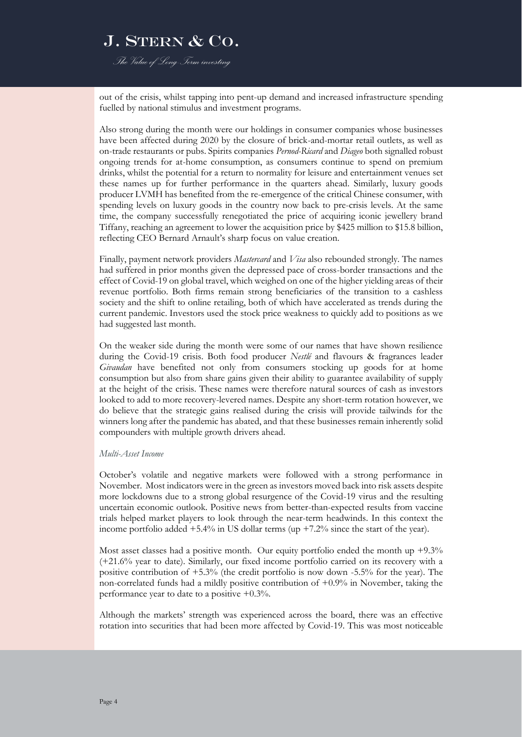*The Value of Long-Term investing*

out of the crisis, whilst tapping into pent-up demand and increased infrastructure spending fuelled by national stimulus and investment programs.

Also strong during the month were our holdings in consumer companies whose businesses have been affected during 2020 by the closure of brick-and-mortar retail outlets, as well as on-trade restaurants or pubs. Spirits companies *Pernod-Ricard* and *Diageo* both signalled robust ongoing trends for at-home consumption, as consumers continue to spend on premium drinks, whilst the potential for a return to normality for leisure and entertainment venues set these names up for further performance in the quarters ahead. Similarly, luxury goods producer LVMH has benefited from the re-emergence of the critical Chinese consumer, with spending levels on luxury goods in the country now back to pre-crisis levels. At the same time, the company successfully renegotiated the price of acquiring iconic jewellery brand Tiffany, reaching an agreement to lower the acquisition price by \$425 million to \$15.8 billion, reflecting CEO Bernard Arnault's sharp focus on value creation.

Finally, payment network providers *Mastercard* and *Visa* also rebounded strongly. The names had suffered in prior months given the depressed pace of cross-border transactions and the effect of Covid-19 on global travel, which weighed on one of the higher yielding areas of their revenue portfolio. Both firms remain strong beneficiaries of the transition to a cashless society and the shift to online retailing, both of which have accelerated as trends during the current pandemic. Investors used the stock price weakness to quickly add to positions as we had suggested last month.

On the weaker side during the month were some of our names that have shown resilience during the Covid-19 crisis. Both food producer *Nestlé* and flavours & fragrances leader *Givaudan* have benefited not only from consumers stocking up goods for at home consumption but also from share gains given their ability to guarantee availability of supply at the height of the crisis. These names were therefore natural sources of cash as investors looked to add to more recovery-levered names. Despite any short-term rotation however, we do believe that the strategic gains realised during the crisis will provide tailwinds for the winners long after the pandemic has abated, and that these businesses remain inherently solid compounders with multiple growth drivers ahead.

#### *Multi-Asset Income*

October's volatile and negative markets were followed with a strong performance in November. Most indicators were in the green as investors moved back into risk assets despite more lockdowns due to a strong global resurgence of the Covid-19 virus and the resulting uncertain economic outlook. Positive news from better-than-expected results from vaccine trials helped market players to look through the near-term headwinds. In this context the income portfolio added +5.4% in US dollar terms (up +7.2% since the start of the year).

Most asset classes had a positive month. Our equity portfolio ended the month up  $+9.3\%$ (+21.6% year to date). Similarly, our fixed income portfolio carried on its recovery with a positive contribution of +5.3% (the credit portfolio is now down -5.5% for the year). The non-correlated funds had a mildly positive contribution of +0.9% in November, taking the performance year to date to a positive  $+0.3\%$ .

Although the markets' strength was experienced across the board, there was an effective rotation into securities that had been more affected by Covid-19. This was most noticeable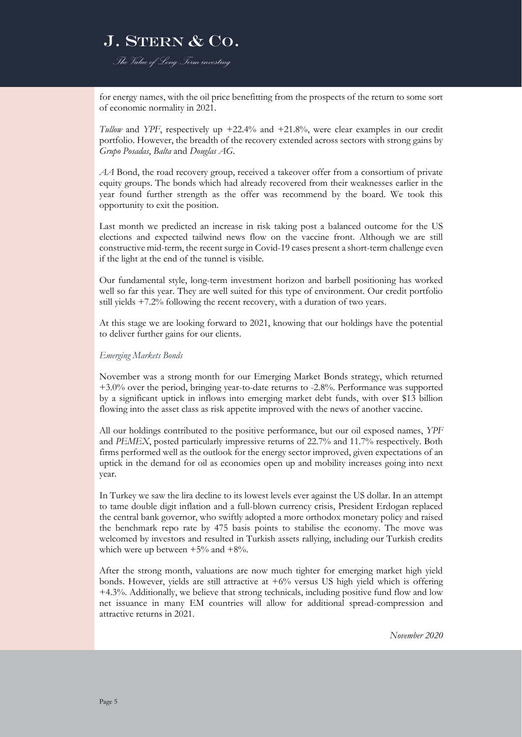*The Value of Long-Term investing*

for energy names, with the oil price benefitting from the prospects of the return to some sort of economic normality in 2021.

*Tullow* and *YPF*, respectively up +22.4% and +21.8%, were clear examples in our credit portfolio. However, the breadth of the recovery extended across sectors with strong gains by *Grupo Posadas*, *Balta* and *Douglas AG*.

*AA* Bond, the road recovery group, received a takeover offer from a consortium of private equity groups. The bonds which had already recovered from their weaknesses earlier in the year found further strength as the offer was recommend by the board. We took this opportunity to exit the position.

Last month we predicted an increase in risk taking post a balanced outcome for the US elections and expected tailwind news flow on the vaccine front. Although we are still constructive mid-term, the recent surge in Covid-19 cases present a short-term challenge even if the light at the end of the tunnel is visible.

Our fundamental style, long-term investment horizon and barbell positioning has worked well so far this year. They are well suited for this type of environment. Our credit portfolio still yields +7.2% following the recent recovery, with a duration of two years.

At this stage we are looking forward to 2021, knowing that our holdings have the potential to deliver further gains for our clients.

#### *Emerging Markets Bonds*

November was a strong month for our Emerging Market Bonds strategy, which returned +3.0% over the period, bringing year-to-date returns to -2.8%. Performance was supported by a significant uptick in inflows into emerging market debt funds, with over \$13 billion flowing into the asset class as risk appetite improved with the news of another vaccine.

All our holdings contributed to the positive performance, but our oil exposed names, *YPF* and *PEMEX*, posted particularly impressive returns of 22.7% and 11.7% respectively. Both firms performed well as the outlook for the energy sector improved, given expectations of an uptick in the demand for oil as economies open up and mobility increases going into next year.

In Turkey we saw the lira decline to its lowest levels ever against the US dollar. In an attempt to tame double digit inflation and a full-blown currency crisis, President Erdogan replaced the central bank governor, who swiftly adopted a more orthodox monetary policy and raised the benchmark repo rate by 475 basis points to stabilise the economy. The move was welcomed by investors and resulted in Turkish assets rallying, including our Turkish credits which were up between  $+5\%$  and  $+8\%$ .

After the strong month, valuations are now much tighter for emerging market high yield bonds. However, yields are still attractive at  $+6\%$  versus US high yield which is offering +4.3%. Additionally, we believe that strong technicals, including positive fund flow and low net issuance in many EM countries will allow for additional spread-compression and attractive returns in 2021.

*November 2020*